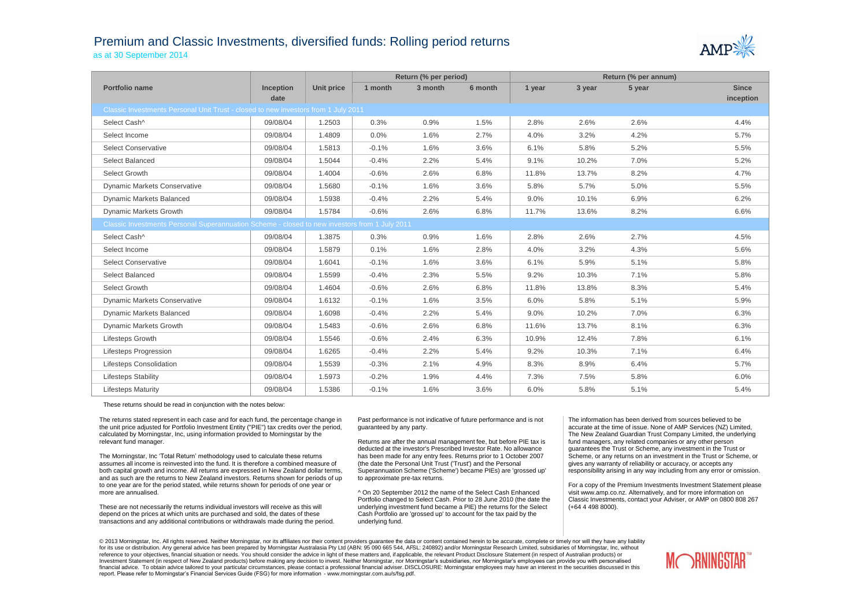## Premium and Classic Investments, diversified funds: Rolling period returns





|                                                                                               |                  |                   | Return (% per period) |         |         | Return (% per annum) |        |        |              |  |
|-----------------------------------------------------------------------------------------------|------------------|-------------------|-----------------------|---------|---------|----------------------|--------|--------|--------------|--|
| Portfolio name                                                                                | <b>Inception</b> | <b>Unit price</b> | 1 month               | 3 month | 6 month | 1 year               | 3 year | 5 year | <b>Since</b> |  |
|                                                                                               | date             |                   |                       |         |         |                      |        |        | inception    |  |
| Classic Investments Personal Unit Trust - closed to new investors from 1 July 2011            |                  |                   |                       |         |         |                      |        |        |              |  |
| Select Cash^                                                                                  | 09/08/04         | 1.2503            | 0.3%                  | 0.9%    | 1.5%    | 2.8%                 | 2.6%   | 2.6%   | 4.4%         |  |
| Select Income                                                                                 | 09/08/04         | 1.4809            | 0.0%                  | 1.6%    | 2.7%    | 4.0%                 | 3.2%   | 4.2%   | 5.7%         |  |
| <b>Select Conservative</b>                                                                    | 09/08/04         | 1.5813            | $-0.1%$               | 1.6%    | 3.6%    | 6.1%                 | 5.8%   | 5.2%   | 5.5%         |  |
| Select Balanced                                                                               | 09/08/04         | 1.5044            | $-0.4%$               | 2.2%    | 5.4%    | 9.1%                 | 10.2%  | 7.0%   | 5.2%         |  |
| Select Growth                                                                                 | 09/08/04         | 1.4004            | $-0.6%$               | 2.6%    | 6.8%    | 11.8%                | 13.7%  | 8.2%   | 4.7%         |  |
| <b>Dynamic Markets Conservative</b>                                                           | 09/08/04         | 1.5680            | $-0.1%$               | 1.6%    | 3.6%    | 5.8%                 | 5.7%   | 5.0%   | 5.5%         |  |
| Dynamic Markets Balanced                                                                      | 09/08/04         | 1.5938            | $-0.4%$               | 2.2%    | 5.4%    | 9.0%                 | 10.1%  | 6.9%   | 6.2%         |  |
| Dynamic Markets Growth                                                                        | 09/08/04         | 1.5784            | $-0.6%$               | 2.6%    | 6.8%    | 11.7%                | 13.6%  | 8.2%   | 6.6%         |  |
| Classic Investments Personal Superannuation Scheme - closed to new investors from 1 July 2011 |                  |                   |                       |         |         |                      |        |        |              |  |
| Select Cash^                                                                                  | 09/08/04         | 1.3875            | 0.3%                  | 0.9%    | 1.6%    | 2.8%                 | 2.6%   | 2.7%   | 4.5%         |  |
| Select Income                                                                                 | 09/08/04         | 1.5879            | 0.1%                  | 1.6%    | 2.8%    | 4.0%                 | 3.2%   | 4.3%   | 5.6%         |  |
| <b>Select Conservative</b>                                                                    | 09/08/04         | 1.6041            | $-0.1%$               | 1.6%    | 3.6%    | 6.1%                 | 5.9%   | 5.1%   | 5.8%         |  |
| Select Balanced                                                                               | 09/08/04         | 1.5599            | $-0.4%$               | 2.3%    | 5.5%    | 9.2%                 | 10.3%  | 7.1%   | 5.8%         |  |
| Select Growth                                                                                 | 09/08/04         | 1.4604            | $-0.6%$               | 2.6%    | 6.8%    | 11.8%                | 13.8%  | 8.3%   | 5.4%         |  |
| <b>Dynamic Markets Conservative</b>                                                           | 09/08/04         | 1.6132            | $-0.1%$               | 1.6%    | 3.5%    | 6.0%                 | 5.8%   | 5.1%   | 5.9%         |  |
| <b>Dynamic Markets Balanced</b>                                                               | 09/08/04         | 1.6098            | $-0.4%$               | 2.2%    | 5.4%    | 9.0%                 | 10.2%  | 7.0%   | 6.3%         |  |
| Dynamic Markets Growth                                                                        | 09/08/04         | 1.5483            | $-0.6%$               | 2.6%    | 6.8%    | 11.6%                | 13.7%  | 8.1%   | 6.3%         |  |
| Lifesteps Growth                                                                              | 09/08/04         | 1.5546            | $-0.6%$               | 2.4%    | 6.3%    | 10.9%                | 12.4%  | 7.8%   | 6.1%         |  |
| Lifesteps Progression                                                                         | 09/08/04         | 1.6265            | $-0.4%$               | 2.2%    | 5.4%    | 9.2%                 | 10.3%  | 7.1%   | 6.4%         |  |
| <b>Lifesteps Consolidation</b>                                                                | 09/08/04         | 1.5539            | $-0.3%$               | 2.1%    | 4.9%    | 8.3%                 | 8.9%   | 6.4%   | 5.7%         |  |
| <b>Lifesteps Stability</b>                                                                    | 09/08/04         | 1.5973            | $-0.2%$               | 1.9%    | 4.4%    | 7.3%                 | 7.5%   | 5.8%   | 6.0%         |  |
| <b>Lifesteps Maturity</b>                                                                     | 09/08/04         | 1.5386            | $-0.1%$               | 1.6%    | 3.6%    | 6.0%                 | 5.8%   | 5.1%   | 5.4%         |  |

These returns should be read in conjunction with the notes below:

The returns stated represent in each case and for each fund, the percentage change in the unit price adjusted for Portfolio Investment Entity ("PIE") tax credits over the period, calculated by Morningstar, Inc, using information provided to Morningstar by the relevant fund manager.

The Morningstar, Inc 'Total Return' methodology used to calculate these returns assumes all income is reinvested into the fund. It is therefore a combined measure of both capital growth and income. All returns are expressed in New Zealand dollar terms, and as such are the returns to New Zealand investors. Returns shown for periods of up to one year are for the period stated, while returns shown for periods of one year or more are annualised.

These are not necessarily the returns individual investors will receive as this will depend on the prices at which units are purchased and sold, the dates of these transactions and any additional contributions or withdrawals made during the period.

Past performance is not indicative of future performance and is not guaranteed by any party.

Returns are after the annual management fee, but before PIE tax is deducted at the investor's Prescribed Investor Rate. No allowance has been made for any entry fees. Returns prior to 1 October 2007 (the date the Personal Unit Trust ('Trust') and the Personal Superannuation Scheme ('Scheme') became PIEs) are 'grossed up' to approximate pre-tax returns.

^ On 20 September 2012 the name of the Select Cash Enhanced Portfolio changed to Select Cash. Prior to 28 June 2010 (the date the underlying investment fund became a PIE) the returns for the Select Cash Portfolio are 'grossed up' to account for the tax paid by the underlying fund.

The information has been derived from sources believed to be accurate at the time of issue. None of AMP Services (NZ) Limited, The New Zealand Guardian Trust Company Limited, the underlying fund managers, any related companies or any other person guarantees the Trust or Scheme, any investment in the Trust or Scheme, or any returns on an investment in the Trust or Scheme, or gives any warranty of reliability or accuracy, or accepts any responsibility arising in any way including from any error or omission.

For a copy of the Premium Investments Investment Statement please visit www.amp.co.nz. Alternatively, and for more information on Classic Investments, contact your Adviser, or AMP on 0800 808 267 (+64 4 498 8000).

© 2013 Morningstar, Inc. All rights reserved. Neither Morningstar, nor its affiliates nor their content providers quarantee the data or content contained herein to be accurate, complete or timely nor will they have any lia for its use or distribution. Any general advice has been prepared by Morningstar Australasia Pty Ltd (ABN: 95 090 665 544, AFSL: 240892) and/or Morningstar Research Limited, subsidiaries of Morningstar, Inc, without reference to your objectives, financial situation or needs. You should consider the advice in light of these matters and, if applicable, the relevant Product Disclosure Statement (in respect of Australian products) or Investment Statement (in respect of New Zealand products) before making any decision to invest. Neither Morningstar, nor Morningstar's subsidiaries, nor Morningstar's employees can provide you with personalised financial advice. To obtain advice tailored to your particular circumstances, please contact a professional financial adviser. DISCLOSURE: Morningstar employees may have an interest in the securities discussed in this report. Please refer to Morningstar's Financial Services Guide (FSG) for more information - www.morningstar.com.au/s/fsg.pdf.